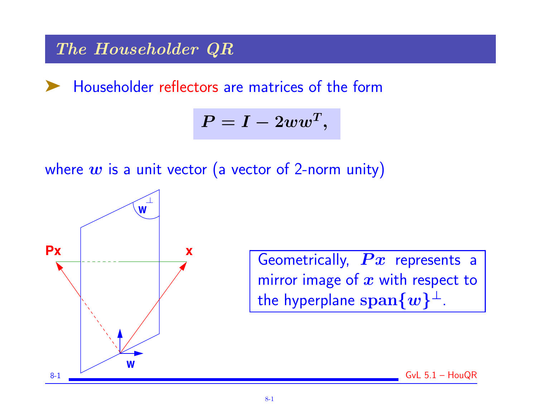# The Householder QR

Householder reflectors are matrices of the form

$$
P=I-2ww^T,
$$

where  $w$  is a unit vector (a vector of 2-norm unity)



Geometrically,  $\boldsymbol{P} \boldsymbol{x}$  represents a mirror image of  $x$  with respect to the hyperplane  $\operatorname{span}\{\boldsymbol{w}\}^{\perp}$ .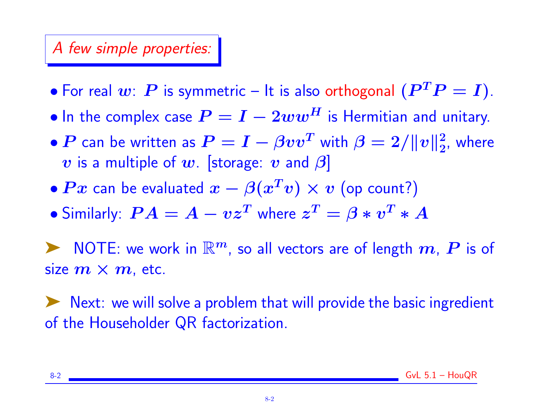#### A few simple properties:

- For real  $w: P$  is symmetric It is also orthogonal  $(P^TP = I)$ .
- In the complex case  $P = I 2ww^H$  is Hermitian and unitary.
- $\bullet$   $\boldsymbol{P}$  can be written as  $\boldsymbol{P} = \boldsymbol{I} \beta \boldsymbol{v} \boldsymbol{v}^T$  with  $\beta = 2 / \| \boldsymbol{v} \|_2^2$  $\frac{2}{2}$ , where v is a multiple of w. [storage: v and  $\beta$ ]
- $Px$  can be evaluated  $x \beta(x^Tv) \times v$  (op count?)
- $\bullet$  Similarly:  $\bm{P} \bm{A} = \bm{A} \bm{v}\bm{z^T}$  where  $\bm{z^T} = \bm{\beta} * \bm{v^T} * \bm{A}$

NOTE: we work in  $\mathbb{R}^m$ , so all vectors are of length  $\boldsymbol{m}$ ,  $\boldsymbol{P}$  is of size  $m \times m$ , etc.

➤ Next: we will solve a problem that will provide the basic ingredient of the Householder QR factorization.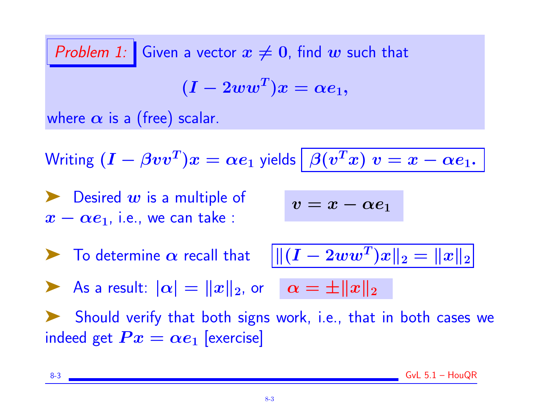Problem 1: Given a vector  $x \neq 0$ , find w such that  $(\boldsymbol{I}-2ww^T)\boldsymbol{x} = \alpha \boldsymbol{e}_1,$ where  $\alpha$  is a (free) scalar. Writing  $(I - \beta vv^T)x = \alpha e_1$  yields  $\big| \ \beta(v^T x) \ v = x - \alpha e_1.$  $\blacktriangleright$  Desired w is a multiple of  $x - \alpha e_1$ , i.e., we can take :  $v = x - \alpha e_1$  $\blacktriangleright$  To determine  $\alpha$  recall that  $\|\|(I - 2ww^T)x\|_2 = \|x\|_2$ As a result:  $|\alpha| = ||x||_2$ , or  $\alpha = \pm ||x||_2$ ➤ Should verify that both signs work, i.e., that in both cases we indeed get  $Px = \alpha e_1$  [exercise]

 $8-3$  GvL  $5.1 -$  HouQR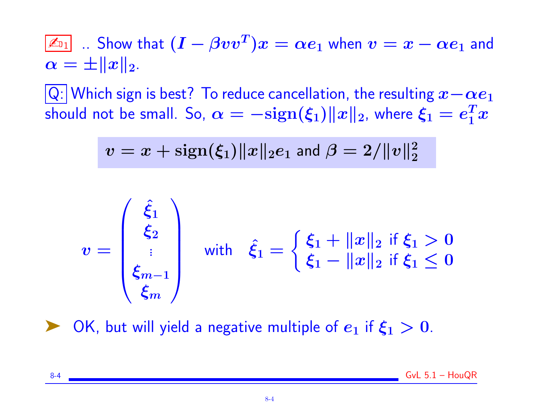$\boxed{\not\!\!\!\!\!\!\!\triangle_{\! 0 1}}$  .. Show that  $(I - \beta vv^T)x = \alpha e_1$  when  $v = x - \alpha e_1$  and  $\alpha = \pm ||x||_2.$ 

 $\overline{|Q|}$  Which sign is best? To reduce cancellation, the resulting  $x-\alpha e_1$ should not be small. So,  $\alpha = -{\rm sign}(\xi_1)\|x\|_2$ , where  $\xi_1 = e_1^Tx$ 

$$
v = x + \text{sign}(\xi_1) \|x\|_2 e_1 \text{ and } \beta = 2/\|v\|_2^2
$$

$$
v = \begin{pmatrix} \hat{\xi}_1 \\ \hat{\xi}_2 \\ \vdots \\ \hat{\xi}_{m-1} \\ \hat{\xi}_m \end{pmatrix} \quad \text{with} \quad \hat{\xi}_1 = \begin{cases} \xi_1 + ||x||_2 & \text{if } \xi_1 > 0 \\ \xi_1 - ||x||_2 & \text{if } \xi_1 \leq 0 \\ \end{cases}
$$

OK, but will yield a negative multiple of  $e_1$  if  $\xi_1 > 0$ .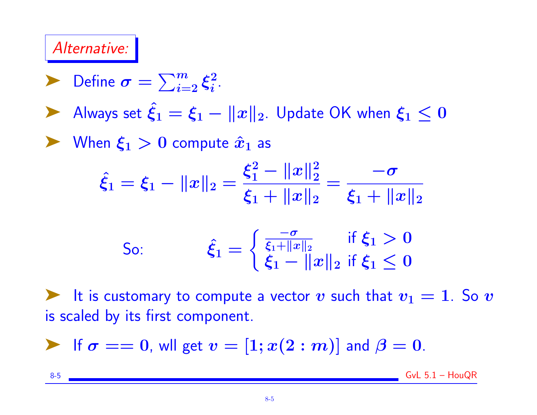# Alternative:

► Define 
$$
\sigma = \sum_{i=2}^{m} \xi_i^2
$$
.  
\n> Always set  $\hat{\xi}_1 = \xi_1 - ||x||_2$ . Update OK when  $\xi_1 \le 0$   
\n>When  $\xi_1 > 0$  compute  $\hat{x}_1$  as  
\n
$$
\hat{\xi}_1 = \xi_1 - ||x||_2 = \frac{\xi_1^2 - ||x||_2^2}{\xi_1 + ||x||_2} = \frac{-\sigma}{\xi_1 + ||x||_2}
$$
\nSo:  
\n
$$
\hat{\xi}_1 = \begin{cases} \frac{-\sigma}{\xi_1 + ||x||_2} & \text{if } \xi_1 > 0 \\ \xi_1 - ||x||_2 & \text{if } \xi_1 \le 0 \end{cases}
$$

ight is customary to compute a vector v such that  $v_1 = 1$ . So v is scaled by its first component.

If 
$$
\sigma == 0
$$
, will get  $v = [1; x(2:m)]$  and  $\beta = 0$ .

8-5 GvL 5.1 – HouQR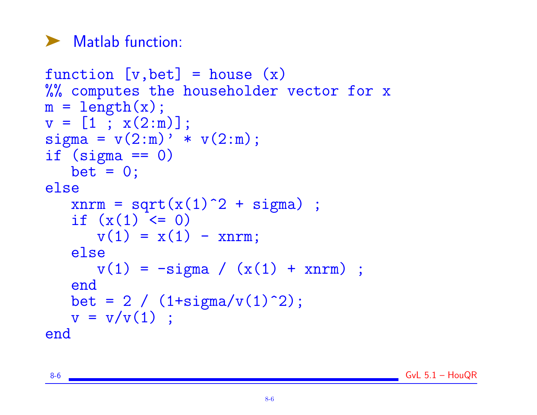# ▶ Matlab function:

```
function [v, bet] = house(x)%% computes the householder vector for x
m = length(x);v = [1; x(2:m)];sigma = v(2:m)' * v(2:m);
if (sigma == 0)bet = 0;else
   xnrm = sqrt(x(1)^2 + sigma) ;
   if (x(1) < 0)v(1) = x(1) - x^n;
   else
      v(1) = -signa / (x(1) + xnrm);
   end
   bet = 2 / (1+sigma/v(1)^2);
   v = v/v(1) ;
end
```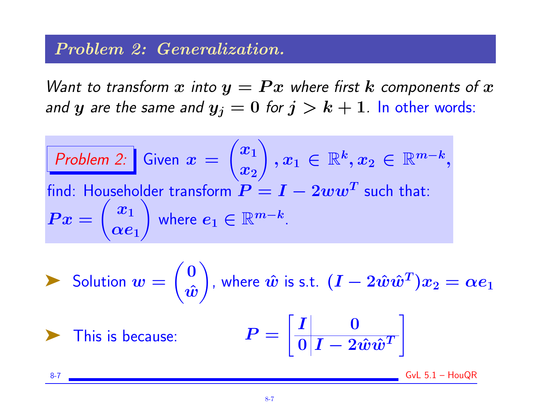#### Problem 2: Generalization.

Want to transform x into  $y = Px$  where first k components of x and  $y$  are the same and  $y_j = 0$  for  $j > k + 1$ . In other words:

Problem 2: Given 
$$
x = \begin{pmatrix} x_1 \\ x_2 \end{pmatrix}
$$
,  $x_1 \in \mathbb{R}^k$ ,  $x_2 \in \mathbb{R}^{m-k}$ , find: Householder transform  $P = I - 2ww^T$  such that:  
\n $Px = \begin{pmatrix} x_1 \\ \alpha e_1 \end{pmatrix}$  where  $e_1 \in \mathbb{R}^{m-k}$ .

► Solution 
$$
w = \begin{pmatrix} 0 \\ \hat{w} \end{pmatrix}
$$
, where  $\hat{w}$  is s.t.  $(I - 2\hat{w}\hat{w}^T)x_2 = \alpha e_1$   
\n▶ This is because: 
$$
P = \begin{bmatrix} I & 0 \\ 0 & I - 2\hat{w}\hat{w}^T \end{bmatrix}
$$

8-7 GvL 5.1 – HouQR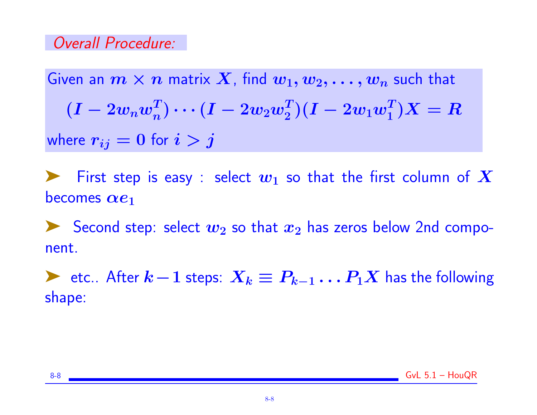### Overall Procedure:

Given an  $m \times n$  matrix X, find  $w_1, w_2, \ldots, w_n$  such that  $(I - 2 w_n w_n^T) \cdots (I - 2 w_2 w_2^T)(I - 2 w_1 w_1^T) X = R$ where  $r_{ij} = 0$  for  $i > j$ 

First step is easy : select  $w_1$  so that the first column of  $X$ becomes  $\alpha e_1$ 

Second step: select  $w_2$  so that  $x_2$  has zeros below 2nd component.

► etc.. After  $k-1$  steps:  $X_k \equiv P_{k-1} \dots P_1 X$  has the following shape: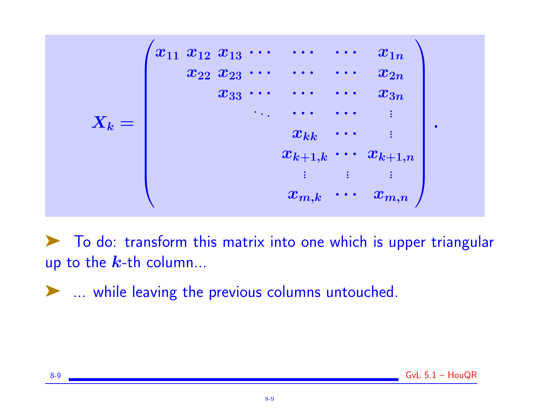

◆ To do: transform this matrix into one which is upper triangular up to the  $k$ -th column...

➤ ... while leaving the previous columns untouched.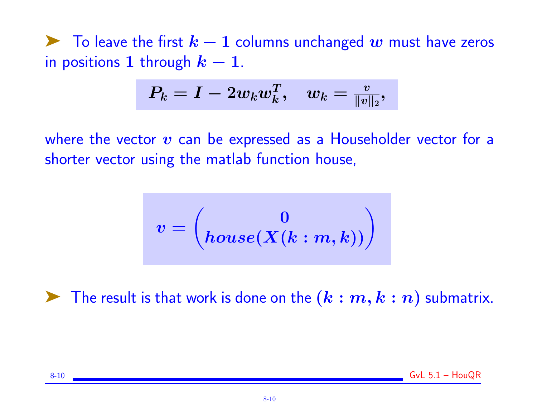$\blacktriangleright$  To leave the first  $k-1$  columns unchanged w must have zeros in positions 1 through  $k-1$ .

$$
P_k=I-2w_kw_k^T,\quad w_k=\tfrac{v}{\|v\|_2},
$$

where the vector  $v$  can be expressed as a Householder vector for a shorter vector using the matlab function house,

$$
v=\begin{pmatrix} 0 \\ \mathit{house}(X(k:m,k)) \end{pmatrix}
$$

The result is that work is done on the  $(k : m, k : n)$  submatrix.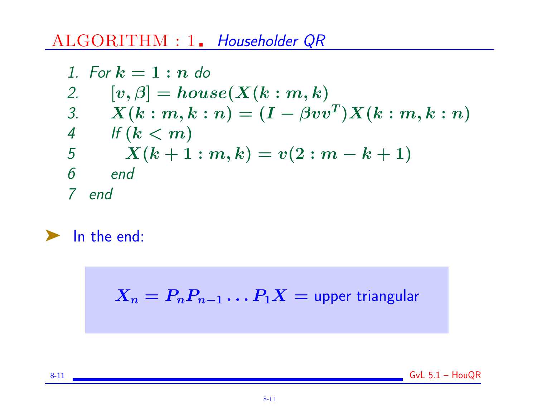# ALGORITHM : 1. Householder QR

1. For 
$$
k = 1 : n
$$
 do  
\n2.  $[v, \beta] = house(X(k : m, k)$   
\n3.  $X(k : m, k : n) = (I - \beta vv^T)X(k : m, k : n)$   
\n4. If  $(k < m)$   
\n5.  $X(k + 1 : m, k) = v(2 : m - k + 1)$   
\n6. end  
\n7. end

# ➤ In the end:

 $X_n = P_n P_{n-1} \dots P_1 X =$  upper triangular

8-11 GvL 5.1 – HouQR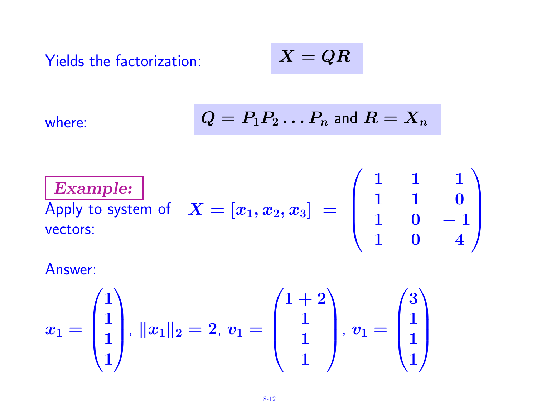Yields the factorization:  
\n
$$
X = QR
$$
\nwhere:  
\n
$$
Q = P_1 P_2 ... P_n \text{ and } R = X_n
$$
\n
$$
\boxed{\text{Example:}}
$$
\nApply to system of  $X = [x_1, x_2, x_3] = \begin{pmatrix} 1 & 1 & 1 \\ 1 & 1 & 0 \\ 1 & 0 & -1 \\ 1 & 0 & 4 \end{pmatrix}$ 

## Answer:

$$
x_1 = \begin{pmatrix} 1 \\ 1 \\ 1 \\ 1 \end{pmatrix}, \, \|x_1\|_2 = 2, \, v_1 = \begin{pmatrix} 1+2 \\ 1 \\ 1 \\ 1 \end{pmatrix}, \, v_1 = \begin{pmatrix} 3 \\ 1 \\ 1 \\ 1 \end{pmatrix}
$$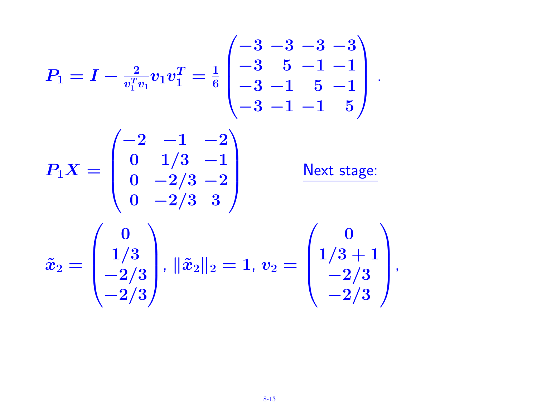$$
P_1 = I - \frac{2}{v_1^T v_1} v_1 v_1^T = \frac{1}{6} \begin{pmatrix} -3 & -3 & -3 & -3 \\ -3 & 5 & -1 & -1 \\ -3 & -1 & 5 & -1 \\ -3 & -1 & -1 & 5 \end{pmatrix}.
$$

$$
P_1 X = \begin{pmatrix} -2 & -1 & -2 \\ 0 & 1/3 & -1 \\ 0 & -2/3 & -2 \\ 0 & -2/3 & 3 \end{pmatrix} \xrightarrow{\text{Next stage:}}
$$

$$
\tilde{x}_2 = \begin{pmatrix} 0 \\ 1/3 \\ -2/3 \\ -2/3 \end{pmatrix}, \ \|\tilde{x}_2\|_2 = 1, \ v_2 = \begin{pmatrix} 0 \\ 1/3 + 1 \\ -2/3 \\ -2/3 \end{pmatrix},
$$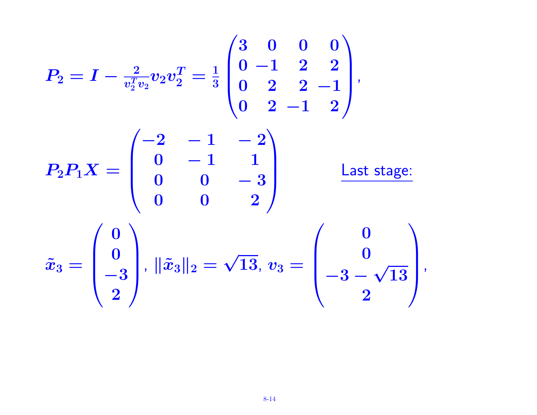$$
P_2 = I - \frac{2}{v_2^T v_2} v_2 v_2^T = \frac{1}{3} \begin{pmatrix} 3 & 0 & 0 & 0 \\ 0 & -1 & 2 & 2 \\ 0 & 2 & 2 & -1 \\ 0 & 2 & -1 & 2 \end{pmatrix},
$$
  
\n
$$
P_2 P_1 X = \begin{pmatrix} -2 & -1 & -2 \\ 0 & -1 & 1 \\ 0 & 0 & -3 \\ 0 & 0 & 2 \end{pmatrix} \qquad \text{Last stage:}
$$
  
\n
$$
\tilde{x}_3 = \begin{pmatrix} 0 \\ 0 \\ -3 \\ 2 \end{pmatrix}, \quad ||\tilde{x}_3||_2 = \sqrt{13}, \quad v_3 = \begin{pmatrix} 0 \\ 0 \\ -3 - \sqrt{13} \\ 2 \end{pmatrix},
$$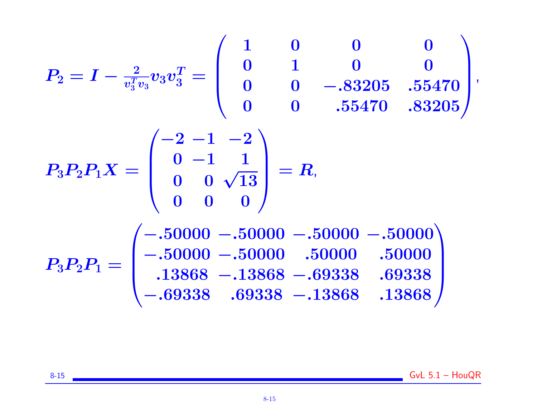$$
P_2 = I - \frac{2}{v_3^T v_3} v_3 v_3^T = \begin{pmatrix} 1 & 0 & 0 & 0 \\ 0 & 1 & 0 & 0 \\ 0 & 0 & -.83205 & .55470 \\ 0 & 0 & .55470 & .83205 \end{pmatrix},
$$
  
\n
$$
P_3 P_2 P_1 X = \begin{pmatrix} -2 & -1 & -2 \\ 0 & -1 & 1 \\ 0 & 0 & \sqrt{13} \\ 0 & 0 & 0 \end{pmatrix} = R,
$$
  
\n
$$
P_3 P_2 P_1 = \begin{pmatrix} -.50000 - .50000 - .50000 - .50000 \\ -.50000 - .50000 & .50000 & .50000 \\ .13868 - .13868 - .69338 & .69338 \\ -.69338 & .69338 - .13868 & .13868 \end{pmatrix}
$$

8-15 GvL 5.1 – HouQR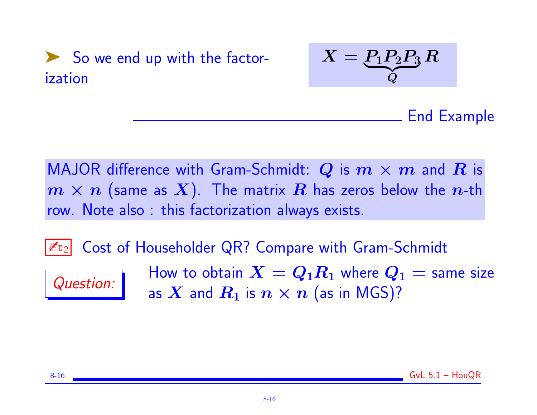



End Example

MAJOR difference with Gram-Schmidt: Q is  $m \times m$  and R is  $m \times n$  (same as X). The matrix R has zeros below the n-th row. Note also : this factorization always exists.

**ED2** Cost of Householder QR? Compare with Gram-Schmidt



 $\overline{Q}$  How to obtain  $X = Q_1 R_1$  where  $Q_1 =$  same size as X and  $R_1$  is  $n \times n$  (as in MGS)?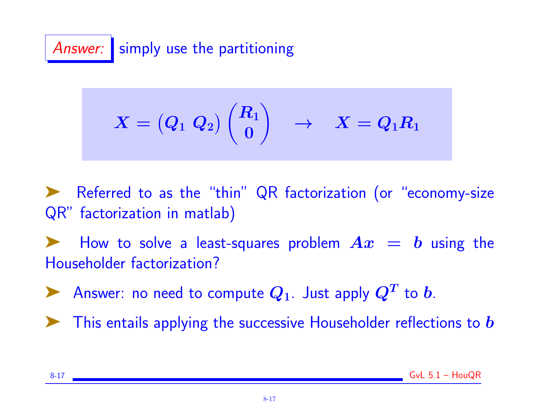Answer: simply use the partitioning

$$
X = \begin{pmatrix} Q_1 & Q_2 \end{pmatrix} \begin{pmatrix} R_1 \\ 0 \end{pmatrix} \quad \rightarrow \quad X = Q_1 R_1
$$

Referred to as the "thin" QR factorization (or "economy-size QR" factorization in matlab)

How to solve a least-squares problem  $Ax = b$  using the Householder factorization?

Answer: no need to compute  $Q_1$ . Just apply  $Q^T$  to b.

This entails applying the successive Householder reflections to  $\bm{b}$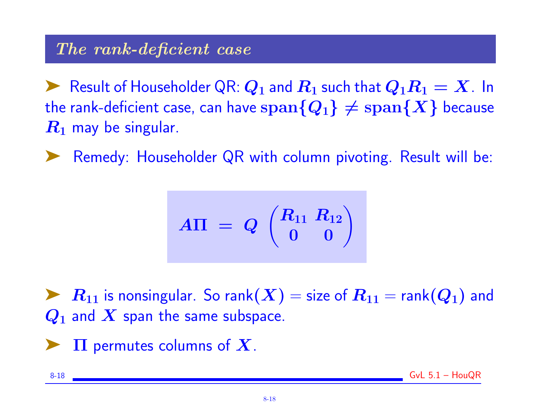### The rank-deficient case

Result of Householder QR:  $Q_1$  and  $R_1$  such that  $Q_1R_1 = X$ . In the rank-deficient case, can have  $\text{span}\{Q_1\} \neq \text{span}\{X\}$  because  $R_1$  may be singular.

Remedy: Householder QR with column pivoting. Result will be:

$$
A\Pi\,\,=\,\,Q\,\,\begin{pmatrix} R_{11}\;\,R_{12}\\ 0\quad 0 \end{pmatrix}
$$

 $R_{11}$  is nonsingular. So rank $(X)$  = size of  $R_{11}$  = rank $(Q_1)$  and  $Q_1$  and  $X$  span the same subspace.

 $\Pi$  permutes columns of  $X$ .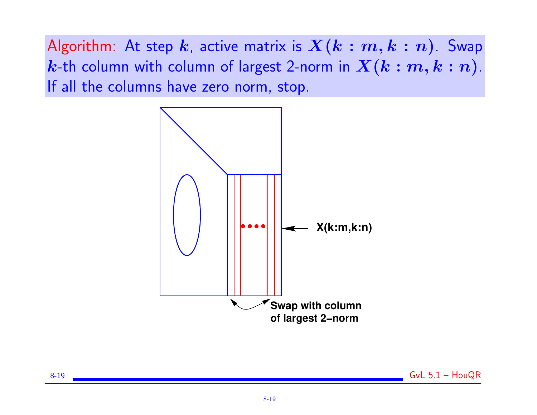Algorithm: At step  $k$ , active matrix is  $X(k : m, k : n)$ . Swap *k*-th column with column of largest 2-norm in  $X(k : m, k : n)$ . If all the columns have zero norm, stop.

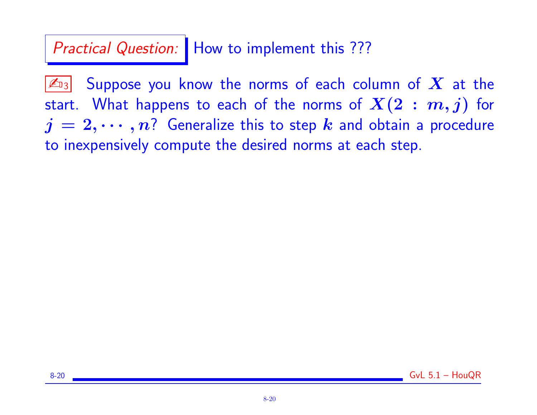# Practical Question: | How to implement this ???

 $|\mathcal{L}_{\text{D3}}|$  Suppose you know the norms of each column of  $\boldsymbol{X}$  at the start. What happens to each of the norms of  $X(2 : m, j)$  for  $j = 2, \cdots, n$ ? Generalize this to step k and obtain a procedure to inexpensively compute the desired norms at each step.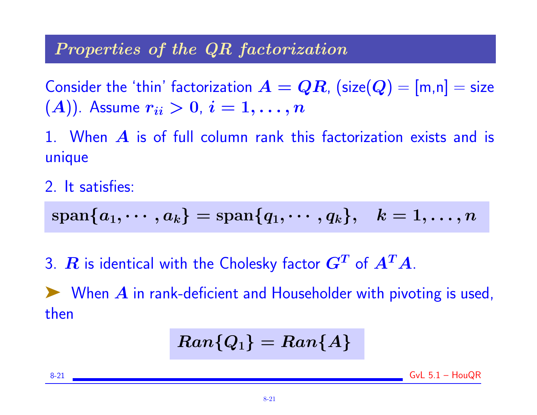### Properties of the QR factorization

Consider the 'thin' factorization  $A = QR$ ,  $(\textsf{size}(Q) = [m,n] = \textsf{size}$  $(A)$ ). Assume  $r_{ii} > 0$ ,  $i = 1, \ldots, n$ 

1. When  $\bm{A}$  is of full column rank this factorization exists and is unique

2. It satisfies:

$$
\text{span}\{a_1,\cdots,a_k\}=\text{span}\{q_1,\cdots,q_k\},\ \ \, k=1,\ldots,n
$$

3.  $\bm{R}$  is identical with the Cholesky factor  $\bm{G^T}$  of  $\bm{A^T} \bm{A}.$ 

 $\blacktriangleright$  When  $\bm{A}$  in rank-deficient and Householder with pivoting is used, then

$$
Ran\{Q_1\}=Ran\{A\}
$$

 $8-21$  GyL  $5.1 -$  HouQR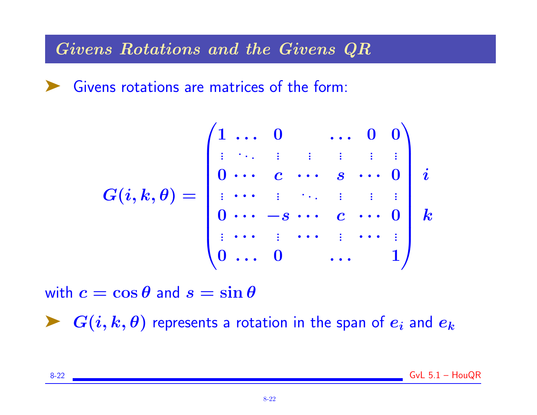Givens Rotations and the Givens QR

➤ Givens rotations are matrices of the form:

$$
G(i,k,\theta)=\begin{pmatrix} 1 & \ldots & 0 & & \ldots & 0 & 0 \\ \vdots & \ddots & \vdots & \vdots & \vdots & \vdots & \vdots \\ 0 & \ldots & c & \cdots & s & \cdots & 0 \\ \vdots & \cdots & \vdots & \ddots & \vdots & \vdots & \vdots \\ 0 & \cdots & -s & \cdots & c & \cdots & 0 \\ \vdots & \cdots & \vdots & \cdots & \vdots & \cdots & \vdots \\ 0 & \ldots & 0 & & \ldots & 1 \end{pmatrix}k
$$

with  $c = \cos \theta$  and  $s = \sin \theta$ 

 $\blacktriangleright$   $G(i, k, \theta)$  represents a rotation in the span of  $e_i$  and  $e_k$ 

8-22 GvL 5.1 – HouQR